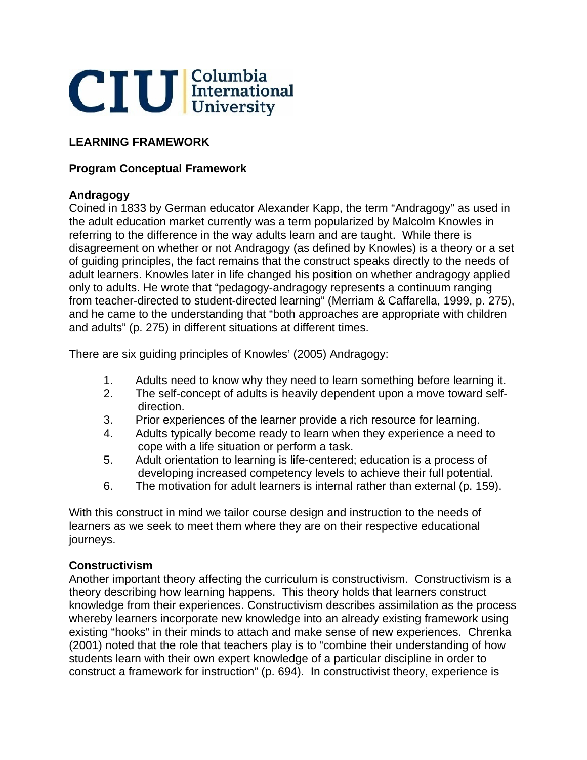

# **LEARNING FRAMEWORK**

# **Program Conceptual Framework**

# **Andragogy**

Coined in 1833 by German educator Alexander Kapp, the term "Andragogy" as used in the adult education market currently was a term popularized by Malcolm Knowles in referring to the difference in the way adults learn and are taught. While there is disagreement on whether or not Andragogy (as defined by Knowles) is a theory or a set of guiding principles, the fact remains that the construct speaks directly to the needs of adult learners. Knowles later in life changed his position on whether andragogy applied only to adults. He wrote that "pedagogy-andragogy represents a continuum ranging from teacher-directed to student-directed learning" (Merriam & Caffarella, 1999, p. 275), and he came to the understanding that "both approaches are appropriate with children and adults" (p. 275) in different situations at different times.

There are six guiding principles of Knowles' (2005) Andragogy:

- 1. Adults need to know why they need to learn something before learning it.
- 2. The self-concept of adults is heavily dependent upon a move toward selfdirection.
- 3. Prior experiences of the learner provide a rich resource for learning.
- 4. Adults typically become ready to learn when they experience a need to cope with a life situation or perform a task.
- 5. Adult orientation to learning is life-centered; education is a process of developing increased competency levels to achieve their full potential.
- 6. The motivation for adult learners is internal rather than external (p. 159).

With this construct in mind we tailor course design and instruction to the needs of learners as we seek to meet them where they are on their respective educational journeys.

### **Constructivism**

Another important theory affecting the curriculum is constructivism. Constructivism is a theory describing how learning happens. This theory holds that learners construct knowledge from their experiences. Constructivism describes assimilation as the process whereby learners incorporate new knowledge into an already existing framework using existing "hooks" in their minds to attach and make sense of new experiences. Chrenka (2001) noted that the role that teachers play is to "combine their understanding of how students learn with their own expert knowledge of a particular discipline in order to construct a framework for instruction" (p. 694). In constructivist theory, experience is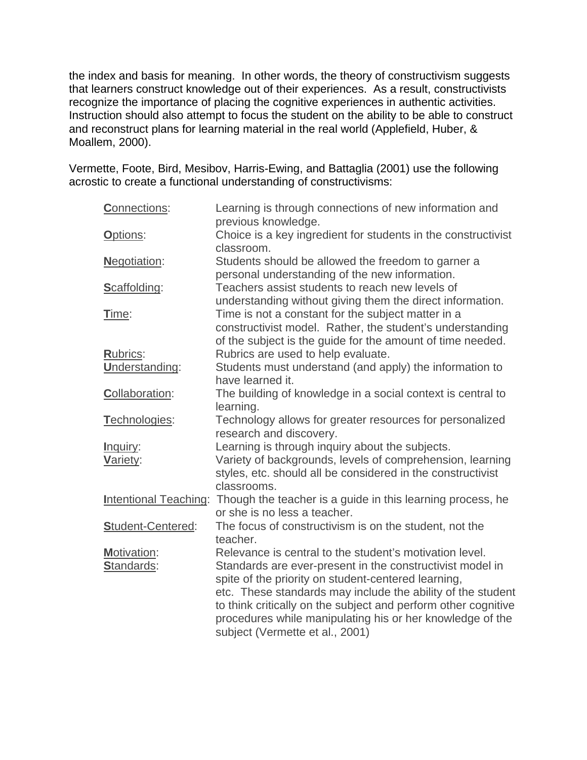the index and basis for meaning. In other words, the theory of constructivism suggests that learners construct knowledge out of their experiences. As a result, constructivists recognize the importance of placing the cognitive experiences in authentic activities. Instruction should also attempt to focus the student on the ability to be able to construct and reconstruct plans for learning material in the real world (Applefield, Huber, & Moallem, 2000).

Vermette, Foote, Bird, Mesibov, Harris-Ewing, and Battaglia (2001) use the following acrostic to create a functional understanding of constructivisms:

| <b>Connections:</b>      | Learning is through connections of new information and<br>previous knowledge.                                                                                                                                                                                                                                                                     |
|--------------------------|---------------------------------------------------------------------------------------------------------------------------------------------------------------------------------------------------------------------------------------------------------------------------------------------------------------------------------------------------|
| Options:                 | Choice is a key ingredient for students in the constructivist<br>classroom.                                                                                                                                                                                                                                                                       |
| <b>Negotiation:</b>      | Students should be allowed the freedom to garner a<br>personal understanding of the new information.                                                                                                                                                                                                                                              |
| Scaffolding:             | Teachers assist students to reach new levels of<br>understanding without giving them the direct information.                                                                                                                                                                                                                                      |
| Time:                    | Time is not a constant for the subject matter in a<br>constructivist model. Rather, the student's understanding<br>of the subject is the guide for the amount of time needed.                                                                                                                                                                     |
| Rubrics:                 | Rubrics are used to help evaluate.                                                                                                                                                                                                                                                                                                                |
| Understanding:           | Students must understand (and apply) the information to<br>have learned it.                                                                                                                                                                                                                                                                       |
| Collaboration:           | The building of knowledge in a social context is central to<br>learning.                                                                                                                                                                                                                                                                          |
| Technologies:            | Technology allows for greater resources for personalized<br>research and discovery.                                                                                                                                                                                                                                                               |
| Inquiry:                 | Learning is through inquiry about the subjects.                                                                                                                                                                                                                                                                                                   |
| Variety:                 | Variety of backgrounds, levels of comprehension, learning<br>styles, etc. should all be considered in the constructivist<br>classrooms.                                                                                                                                                                                                           |
|                          | Intentional Teaching: Though the teacher is a guide in this learning process, he<br>or she is no less a teacher.                                                                                                                                                                                                                                  |
| <b>Student-Centered:</b> | The focus of constructivism is on the student, not the<br>teacher.                                                                                                                                                                                                                                                                                |
| <b>Motivation:</b>       | Relevance is central to the student's motivation level.                                                                                                                                                                                                                                                                                           |
| Standards:               | Standards are ever-present in the constructivist model in<br>spite of the priority on student-centered learning,<br>etc. These standards may include the ability of the student<br>to think critically on the subject and perform other cognitive<br>procedures while manipulating his or her knowledge of the<br>subject (Vermette et al., 2001) |